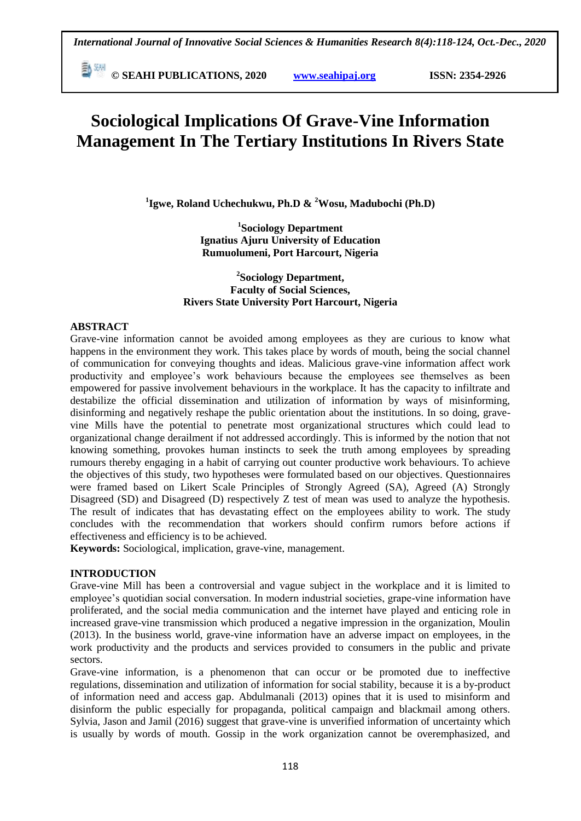**E**<sup>[30]</sup> © SEAHI PUBLICATIONS, 2020 *www.seahipaj.org* **ISSN: 2354-2926** 

# **Sociological Implications Of Grave-Vine Information Management In The Tertiary Institutions In Rivers State**

**1 Igwe, Roland Uchechukwu, Ph.D & <sup>2</sup>Wosu, Madubochi (Ph.D)**

**1 Sociology Department Ignatius Ajuru University of Education Rumuolumeni, Port Harcourt, Nigeria**

**2 Sociology Department, Faculty of Social Sciences, Rivers State University Port Harcourt, Nigeria**

# **ABSTRACT**

Grave-vine information cannot be avoided among employees as they are curious to know what happens in the environment they work. This takes place by words of mouth, being the social channel of communication for conveying thoughts and ideas. Malicious grave-vine information affect work productivity and employee's work behaviours because the employees see themselves as been empowered for passive involvement behaviours in the workplace. It has the capacity to infiltrate and destabilize the official dissemination and utilization of information by ways of misinforming, disinforming and negatively reshape the public orientation about the institutions. In so doing, gravevine Mills have the potential to penetrate most organizational structures which could lead to organizational change derailment if not addressed accordingly. This is informed by the notion that not knowing something, provokes human instincts to seek the truth among employees by spreading rumours thereby engaging in a habit of carrying out counter productive work behaviours. To achieve the objectives of this study, two hypotheses were formulated based on our objectives. Questionnaires were framed based on Likert Scale Principles of Strongly Agreed (SA), Agreed (A) Strongly Disagreed (SD) and Disagreed (D) respectively Z test of mean was used to analyze the hypothesis. The result of indicates that has devastating effect on the employees ability to work. The study concludes with the recommendation that workers should confirm rumors before actions if effectiveness and efficiency is to be achieved.

**Keywords:** Sociological, implication, grave-vine, management.

# **INTRODUCTION**

Grave-vine Mill has been a controversial and vague subject in the workplace and it is limited to employee's quotidian social conversation. In modern industrial societies, grape-vine information have proliferated, and the social media communication and the internet have played and enticing role in increased grave-vine transmission which produced a negative impression in the organization, Moulin (2013). In the business world, grave-vine information have an adverse impact on employees, in the work productivity and the products and services provided to consumers in the public and private sectors.

Grave-vine information, is a phenomenon that can occur or be promoted due to ineffective regulations, dissemination and utilization of information for social stability, because it is a by-product of information need and access gap. Abdulmanali (2013) opines that it is used to misinform and disinform the public especially for propaganda, political campaign and blackmail among others. Sylvia, Jason and Jamil (2016) suggest that grave-vine is unverified information of uncertainty which is usually by words of mouth. Gossip in the work organization cannot be overemphasized, and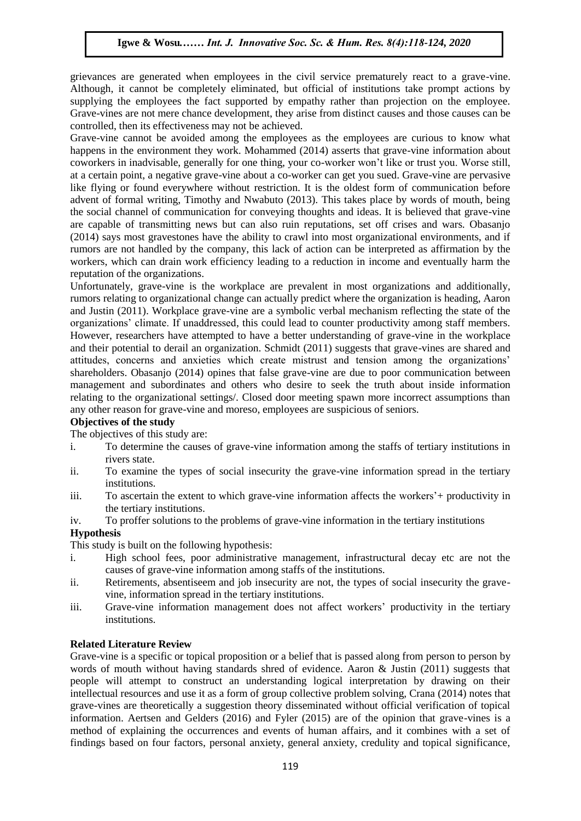grievances are generated when employees in the civil service prematurely react to a grave-vine. Although, it cannot be completely eliminated, but official of institutions take prompt actions by supplying the employees the fact supported by empathy rather than projection on the employee. Grave-vines are not mere chance development, they arise from distinct causes and those causes can be controlled, then its effectiveness may not be achieved.

controned, then its effectiveness may not be achieved.<br>Grave-vine cannot be avoided among the employees as the employees are curious to know what happens in the environment they work. Mohammed (2014) asserts that grave-vine information about coworkers in inadvisable, generally for one thing, your co-worker won't like or trust you. Worse still, at a certain point, a negative grave-vine about a co-worker can get you sued. Grave-vine are pervasive at a certain point, a negative grave-vine about a co-worker can get you sued. Grave-vine are pervasive<br>like flying or found everywhere without restriction. It is the oldest form of communication before advent of formal writing, Timothy and Nwabuto (2013). This takes place by words of mouth, being the social channel of communication for conveying thoughts and ideas. It is believed that grave-vine are capable of transmitting news but can also ruin reputations, set off crises and wars. Obasanjo (2014) seems at consideration here the chilitate social integration is entitled and if (2014) says most gravestones have the ability to crawl into most organizational environments, and if rumors are not handled by the company, this lack of action can be interpreted as affirmation by the workers, which can drain work efficiency leading to a reduction in income and eventually harm the reputation of the organizations.

reputation of the organizations.<br>Unfortunately, grave-vine is the workplace are prevalent in most organizations and additionally, rumors relating to organizational change can actually predict where the organization is heading, Aaron and Justin (2011). Workplace grave-vine are a symbolic verbal mechanism reflecting the state of the organizations' climate. If unaddressed, this could lead to counter productivity among staff members. organizations enfinate. It unaddressed, this could read to counter productivity among start includers.<br>However, researchers have attempted to have a better understanding of grave-vine in the workplace and their potential to derail an organization. Schmidt (2011) suggests that grave-vines are shared and attitudes, concerns and anxieties which create mistrust and tension among the organizations' shareholders. Obasanjo (2014) opines that false grave-vine are due to poor communication between  $\frac{1}{2}$  management and subordinates and others who desire to seek the truth about inside information management and subordinates and others who desire to seek the truth about inside information relating to the organizational settings/. Closed door meeting spawn more incorrect assumptions than any other reason for grave-vine and moreso, employees are suspicious of seniors.

# **Objectives of the study**

The objectives of this study are:

- i. To determine the causes of grave-vine information among the staffs of tertiary institutions in rivers state.
- ii. To examine the types of social insecurity the grave-vine information spread in the tertiary institutions.
- iii. To ascertain the extent to which grave-vine information affects the workers'+ productivity in the tertiary institutions.
- iv. To proffer solutions to the problems of grave-vine information in the tertiary institutions

# **Hypothesis**

This study is built on the following hypothesis:

- i. High school fees, poor administrative management, infrastructural decay etc are not the causes of grave-vine information among staffs of the institutions.
- ii. Retirements, absentiseem and job insecurity are not, the types of social insecurity the gravevine, information spread in the tertiary institutions.
- iii. Grave-vine information management does not affect workers' productivity in the tertiary institutions.

# **Related Literature Review**

Grave-vine is a specific or topical proposition or a belief that is passed along from person to person by words of mouth without having standards shred of evidence. Aaron & Justin (2011) suggests that people will attempt to construct an understanding logical interpretation by drawing on their intellectual resources and use it as a form of group collective problem solving, Crana (2014) notes that grave-vines are theoretically a suggestion theory disseminated without official verification of topical information. Aertsen and Gelders (2016) and Fyler (2015) are of the opinion that grave-vines is a method of explaining the occurrences and events of human affairs, and it combines with a set of findings based on four factors, personal anxiety, general anxiety, credulity and topical significance,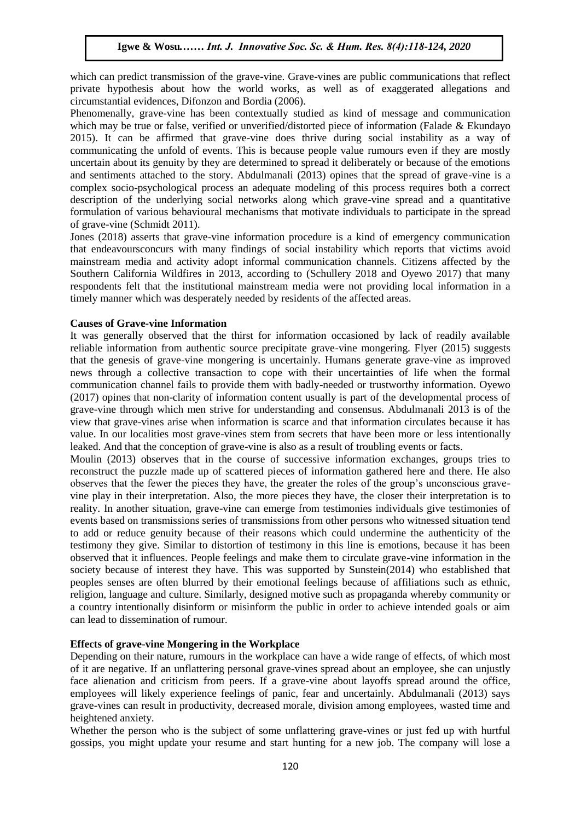which can predict transmission of the grave-vine. Grave-vines are public communications that reflect ment can precise a ansingless of the grave time state times are plaint communications may restrict circumstantial evidences, Difonzon and Bordia (2006).

Phenomenally, grave-vine has been contextually studied as kind of message and communication which may be true or false, verified or unverified/distorted piece of information (Falade & Ekundayo 2015). It can be affirmed that grave-vine does thrive during social instability as a way of communicating the unfold of events. This is because people value rumours even if they are mostly uncertain about its genuity by they are determined to spread it deliberately or because of the emotions and sentiments attached to the story. Abdulmanali (2013) opines that the spread of grave-vine is a complex socio-psychological process an adequate modeling of this process requires both a correct description of the underlying social networks along which grave-vine spread and a quantitative formulation of various behavioural mechanisms that motivate individuals to participate in the spread of grave-vine (Schmidt 2011).

Jones (2018) asserts that grave-vine information procedure is a kind of emergency communication that endeavoursconcurs with many findings of social instability which reports that victims avoid mainstream media and activity adopt informal communication channels. Citizens affected by the Southern California Wildfires in 2013, according to (Schullery 2018 and Oyewo 2017) that many respondents felt that the institutional mainstream media were not providing local information in a timely manner which was desperately needed by residents of the affected areas.

# **Causes of Grave-vine Information**

It was generally observed that the thirst for information occasioned by lack of readily available reliable information from authentic source precipitate grave-vine mongering. Flyer (2015) suggests that the genesis of grave-vine mongering is uncertainly. Humans generate grave-vine as improved news through a collective transaction to cope with their uncertainties of life when the formal communication channel fails to provide them with badly-needed or trustworthy information. Oyewo (2017) opines that non-clarity of information content usually is part of the developmental process of grave-vine through which men strive for understanding and consensus. Abdulmanali 2013 is of the view that grave-vines arise when information is scarce and that information circulates because it has value. In our localities most grave-vines stem from secrets that have been more or less intentionally leaked. And that the conception of grave-vine is also as a result of troubling events or facts.

Moulin (2013) observes that in the course of successive information exchanges, groups tries to reconstruct the puzzle made up of scattered pieces of information gathered here and there. He also observes that the fewer the pieces they have, the greater the roles of the group's unconscious gravevine play in their interpretation. Also, the more pieces they have, the closer their interpretation is to reality. In another situation, grave-vine can emerge from testimonies individuals give testimonies of events based on transmissions series of transmissions from other persons who witnessed situation tend to add or reduce genuity because of their reasons which could undermine the authenticity of the testimony they give. Similar to distortion of testimony in this line is emotions, because it has been observed that it influences. People feelings and make them to circulate grave-vine information in the society because of interest they have. This was supported by Sunstein(2014) who established that peoples senses are often blurred by their emotional feelings because of affiliations such as ethnic, religion, language and culture. Similarly, designed motive such as propaganda whereby community or a country intentionally disinform or misinform the public in order to achieve intended goals or aim can lead to dissemination of rumour.

# **Effects of grave-vine Mongering in the Workplace**

Depending on their nature, rumours in the workplace can have a wide range of effects, of which most of it are negative. If an unflattering personal grave-vines spread about an employee, she can unjustly face alienation and criticism from peers. If a grave-vine about layoffs spread around the office, employees will likely experience feelings of panic, fear and uncertainly. Abdulmanali (2013) says grave-vines can result in productivity, decreased morale, division among employees, wasted time and heightened anxiety.

Whether the person who is the subject of some unflattering grave-vines or just fed up with hurtful gossips, you might update your resume and start hunting for a new job. The company will lose a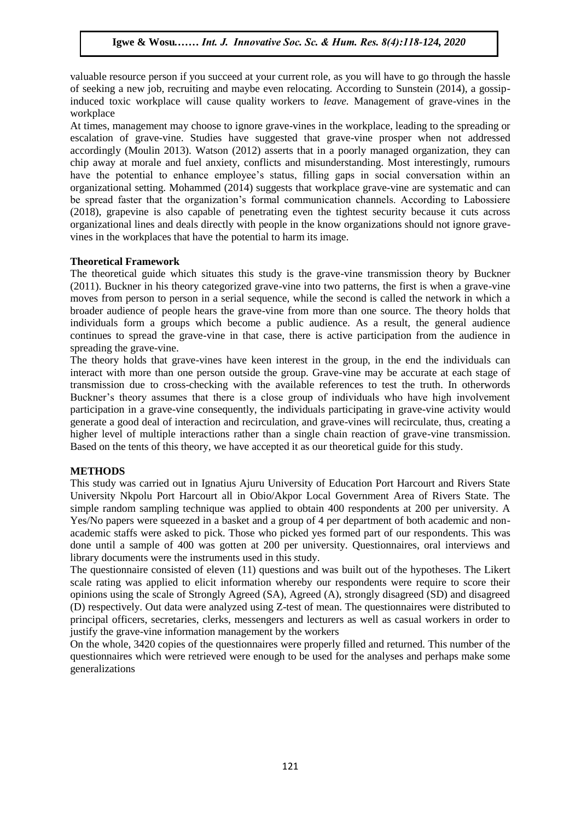valuable resource person if you succeed at your current role, as you will have to go through the hassle of seeking a new job, recruiting and maybe even relocating. According to Sunstein (2014), a gossipinduced toxic workplace will cause quality workers to *leave.* Management of grave-vines in the workplace

At times, management may choose to ignore grave-vines in the workplace, leading to the spreading or escalation of grave-vine. Studies have suggested that grave-vine prosper when not addressed accordingly (Moulin 2013). Watson (2012) asserts that in a poorly managed organization, they can chip away at morale and fuel anxiety, conflicts and misunderstanding. Most interestingly, rumours have the potential to enhance employee's status, filling gaps in social conversation within an organizational setting. Mohammed (2014) suggests that workplace grave-vine are systematic and can be spread faster that the organization's formal communication channels. According to Labossiere (2018), grapevine is also capable of penetrating even the tightest security because it cuts across organizational lines and deals directly with people in the know organizations should not ignore gravevines in the workplaces that have the potential to harm its image.

# **Theoretical Framework**

The theoretical guide which situates this study is the grave-vine transmission theory by Buckner  $(2011)$ ,  $D_{11}$ ,  $D_{21}$ (2011). Buckner in his theory categorized grave-vine into two patterns, the first is when a grave-vine moves from person to person in a serial sequence, while the second is called the network in which a broader audience of people hears the grave-vine from more than one source. The theory holds that individuals form a groups which become a public audience. As a result, the general audience continues to spread the grave-vine in that case, there is active participation from the audience in spreading the grave-vine.

The theory holds that grave-vines have keen interest in the group, in the end the individuals can interact with more than one person outside the group. Grave-vine may be accurate at each stage of Interact with more than one person outside the group. Grave-vine may be accurate at each stage of transmission due to cross-checking with the available references to test the truth. In otherwords Buckner's theory assumes that there is a close group of individuals who have high involvement participation in a grave-vine consequently, the individuals participating in grave-vine activity would generate a good deal of interaction and recirculation, and grave-vines will recirculate, thus, creating a higher level of multiple interactions rather than a single chain reaction of grave-vine transmission. Based on the tents of this theory, we have accepted it as our theoretical guide for this study.

# **METHODS**

This study was carried out in Ignatius Ajuru University of Education Port Harcourt and Rivers State University Nkpolu Port Harcourt all in Obio/Akpor Local Government Area of Rivers State. The simple random sampling technique was applied to obtain 400 respondents at 200 per university. A Yes/No papers were squeezed in a basket and a group of 4 per department of both academic and nonacademic staffs were asked to pick. Those who picked yes formed part of our respondents. This was done until a sample of 400 was gotten at 200 per university. Questionnaires, oral interviews and library documents were the instruments used in this study.

The questionnaire consisted of eleven (11) questions and was built out of the hypotheses. The Likert scale rating was applied to elicit information whereby our respondents were require to score their opinions using the scale of Strongly Agreed (SA), Agreed (A), strongly disagreed (SD) and disagreed (D) respectively. Out data were analyzed using Z-test of mean. The questionnaires were distributed to principal officers, secretaries, clerks, messengers and lecturers as well as casual workers in order to justify the grave-vine information management by the workers

On the whole, 3420 copies of the questionnaires were properly filled and returned. This number of the questionnaires which were retrieved were enough to be used for the analyses and perhaps make some generalizations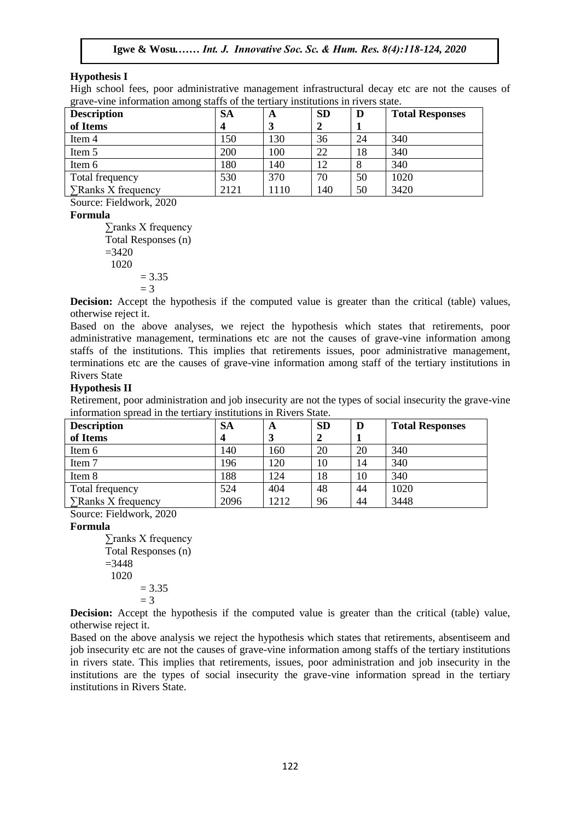# **Hypothesis I**

High school fees, poor administrative management infrastructural decay etc are not the causes of grave-vine information among staffs of the tertiary institutions in rivers state.

| <b>Description</b>       | <b>SA</b> | A   | <b>SD</b> | D  | <b>Total Responses</b> |
|--------------------------|-----------|-----|-----------|----|------------------------|
| of Items                 |           | 3   |           |    |                        |
| Item 4                   | 150       | 130 | 36        | 24 | 340                    |
| Item 5                   | 200       | 100 | 22        | 18 | 340                    |
| Item 6                   | 180       | 140 | 12        | 8  | 340                    |
| Total frequency          | 530       | 370 | 70        | 50 | 1020                   |
| $\sum$ Ranks X frequency | 2121      | 110 | 140       | 50 | 3420                   |

Source: Fieldwork, 2020

# **Formula**

∑ranks X frequency  $\overline{\text{Total Response (n)}}$  $=3420$  1020  $= 3.35$  $=$  3  $=$  3

**Decision:** Accept the hypothesis if the computed value is greater than the critical (table) values, otherwise reject it.

Based on the above analyses, we reject the hypothesis which states that retirements, poor administrative management, terminations etc are not the causes of grave-vine information among staffs of the institutions. This implies that retirements issues, poor administrative management, terminations etc are the causes of grave-vine information among staff of the tertiary institutions in Rivers State

# **Hypothesis II**

Retirement, poor administration and job insecurity are not the types of social insecurity the grave-vine information spread in the tertiary institutions in Rivers State.

| <b>Description</b>       | SA   | A    | <b>SD</b> | D  | <b>Total Responses</b> |
|--------------------------|------|------|-----------|----|------------------------|
| of Items                 |      |      |           |    |                        |
| Item 6                   | 140  | 160  | 20        | 20 | 340                    |
| Item 7                   | 196  | 120  | 10        | 14 | 340                    |
| Item 8                   | 188  | 124  | 18        | 10 | 340                    |
| Total frequency          | 524  | 404  | 48        | 44 | 1020                   |
| $\sum$ Ranks X frequency | 2096 | 1212 | 96        | 44 | 3448                   |

Source: Fieldwork, 2020

# **Formula**

∑ranks X frequency Total Responses (n)  $=3448$  1020  $= 3.35$  $=$  3

**Decision:** Accept the hypothesis if the computed value is greater than the critical (table) value, otherwise reject it.

Based on the above analysis we reject the hypothesis which states that retirements, absentiseem and job insecurity etc are not the causes of grave-vine information among staffs of the tertiary institutions in rivers state. This implies that retirements, issues, poor administration and job insecurity in the institutions are the types of social insecurity the grave-vine information spread in the tertiary institutions in Rivers State.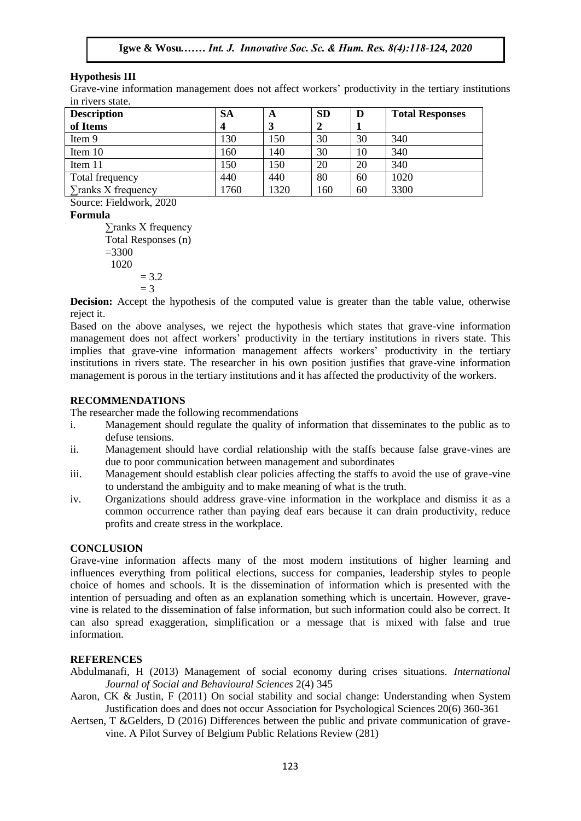# **Hypothesis III**

Grave-vine information management does not affect workers' productivity in the tertiary institutions in rivers state.

| <b>Description</b>       | <b>SA</b> | A    | <b>SD</b> | D  | <b>Total Responses</b> |
|--------------------------|-----------|------|-----------|----|------------------------|
| of Items                 |           | 3    |           |    |                        |
| Item 9                   | 130       | 150  | 30        | 30 | 340                    |
| Item 10                  | 160       | 140  | 30        | 10 | 340                    |
| Item 11                  | 150       | 150  | 20        | 20 | 340                    |
| Total frequency          | 440       | 440  | 80        | 60 | 1020                   |
| $\sum$ ranks X frequency | 1760      | 1320 | 160       | 60 | 3300                   |

Source: Fieldwork, 2020

# **Formula**

∑ranks X frequency  $\Sigma$  cannot a Women intervals of  $N$  requested  $S$  $=3300$  1020  $= 3.2$  $= 3$  $\frac{3}{10}$  – 3

**Decision:** Accept the hypothesis of the computed value is greater than the table value, otherwise reject it.

Based on the above analyses, we reject the hypothesis which states that grave-vine information management does not affect workers' productivity in the tertiary institutions in rivers state. This management does not affect workers' productivity in the tertiary institutions in rivers state. This implies that grave-vine information management affects workers' productivity in the tertiary institutions in rivers state. The researcher in his own position justifies that grave-vine information management is porous in the tertiary institutions and it has affected the productivity of the workers.  $\mathcal{L}_{\text{S}}$ . In the society of  $\mathcal{L}_{\text{S}}$  is a sequence of  $\mathcal{L}_{\text{S}}$  and  $\mathcal{L}_{\text{S}}$  is a sequence of  $\mathcal{L}_{\text{S}}$ 

# **RECOMMENDATIONS**

The researcher made the following recommendations

- i. Management should regulate the quality of information that disseminates to the public as to defuse tensions.
- ii. Management should have cordial relationship with the staffs because false grave-vines are due to poor communication between management and subordinates
- iii. Management should establish clear policies affecting the staffs to avoid the use of grave-vine to understand the ambiguity and to make meaning of what is the truth.
- iv. Organizations should address grave-vine information in the workplace and dismiss it as a common occurrence rather than paying deaf ears because it can drain productivity, reduce profits and create stress in the workplace.

# **CONCLUSION**

Grave-vine information affects many of the most modern institutions of higher learning and influences everything from political elections, success for companies, leadership styles to people choice of homes and schools. It is the dissemination of information which is presented with the intention of persuading and often as an explanation something which is uncertain. However, gravevine is related to the dissemination of false information, but such information could also be correct. It can also spread exaggeration, simplification or a message that is mixed with false and true information.

# **REFERENCES**

- Abdulmanafi, H (2013) Management of social economy during crises situations. *International Journal of Social and Behavioural Sciences* 2(4) 345
- Aaron, CK & Justin, F (2011) On social stability and social change: Understanding when System Justification does and does not occur Association for Psychological Sciences 20(6) 360-361
- Aertsen, T &Gelders, D (2016) Differences between the public and private communication of gravevine. A Pilot Survey of Belgium Public Relations Review (281)